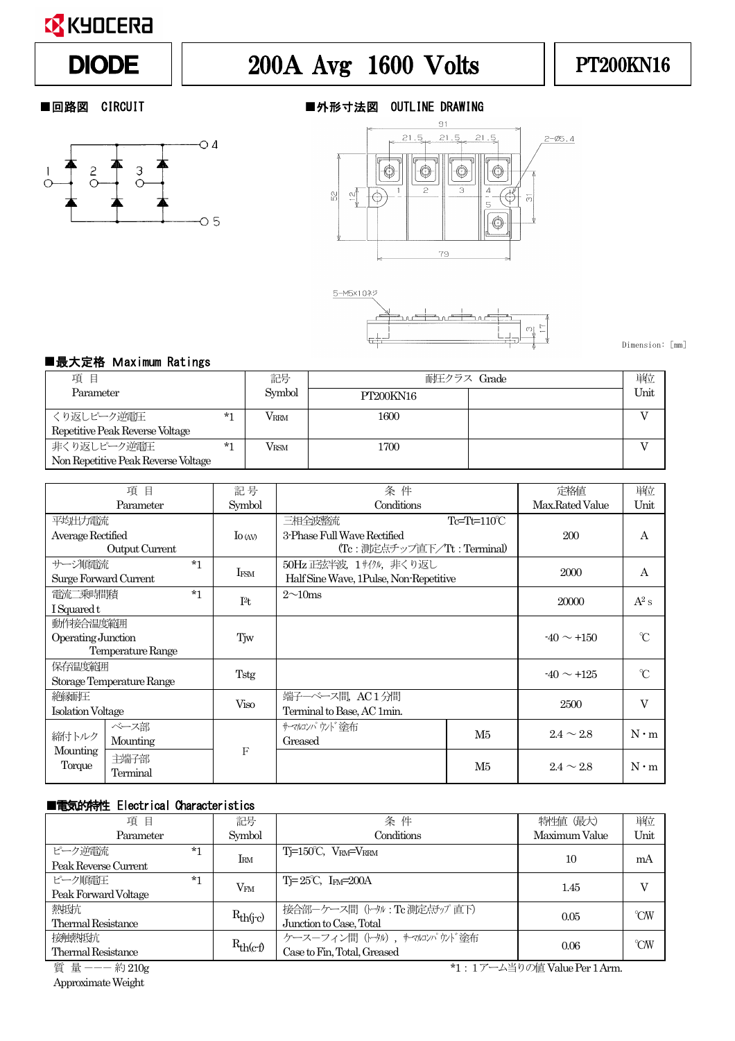

# DIODE | 200A Avg 1600 Volts | PT200KN16



### ■回路図 CIRCUIT ■外形寸法図 OUTLINE DRAWING





Dimension: [mm]

#### ■最大定格 Maximum Ratings

| 項目                                  |      | 記号            | 耐圧クラス Grade | 単位   |
|-------------------------------------|------|---------------|-------------|------|
| Parameter                           |      | Symbol        | PT200KN16   | Unit |
| くり返しピーク逆雷圧                          | $*1$ | Vrrm          | 1600        |      |
| Repetitive Peak Reverse Voltage     |      |               |             |      |
| 非くり返しピーク逆電圧                         | $*1$ | $V_{\rm RSM}$ | 1700        |      |
| Non Repetitive Peak Reverse Voltage |      |               |             |      |

| 項<br>目                    |      | 記号          | 条件                          |                                        | 定格値               | 単位             |             |
|---------------------------|------|-------------|-----------------------------|----------------------------------------|-------------------|----------------|-------------|
| Parameter                 |      | Symbol      | Conditions                  |                                        | Max.Rated Value   | Unit           |             |
| 平均出力電流                    |      |             |                             | 三相全波整流                                 | $Te = Th = 110°C$ |                |             |
| Average Rectified         |      | $\log$      | 3-Phase Full Wave Rectified |                                        | 200               | А              |             |
| Output Current            |      |             | (Tc:測定点チップ直下/Tt:Terminal)   |                                        |                   |                |             |
| サージ順雷流                    |      | $*1$        | IFSM                        | 50Hz 正弦半波、1 サイクル、非くり返し                 |                   | 2000           | A           |
| Surge Forward Current     |      |             |                             | Half Sine Wave, 1Pulse, Non-Repetitive |                   |                |             |
| 雷流二乗時間積                   |      | $*1$        | I <sup>2</sup> t            | $2\sim10$ ms                           |                   | 20000          | $A^2$ s     |
| I Squared t               |      |             |                             |                                        |                   |                |             |
| 動作接合温度範囲                  |      |             |                             |                                        |                   |                |             |
| Operating Junction        |      | Tjw         |                             |                                        |                   | $\gamma$       |             |
| Temperature Range         |      |             |                             |                                        |                   |                |             |
| 保存温度範囲                    |      |             |                             |                                        | $-40 \sim +125$   | $^{\circ}$ C   |             |
| Storage Temperature Range |      | Tstg        |                             |                                        |                   |                |             |
| 絶縁耐圧                      |      | <b>Viso</b> | 端子一ベース間, AC1分間              |                                        | 2500              | V              |             |
| <b>Isolation Voltage</b>  |      |             | Terminal to Base, AC 1min.  |                                        |                   |                |             |
| ベース部<br>締付トルク<br>Mounting |      |             |                             | サーマルコンパウンド塗布                           | M5                | $2.4 \sim 2.8$ | $N \cdot m$ |
|                           |      |             |                             | Greased                                |                   |                |             |
| Mounting                  | 主端子部 |             | F                           |                                        |                   |                |             |
| Torque<br>Terminal        |      |             |                             |                                        | M5                | $2.4 \sim 2.8$ | $N \cdot m$ |

#### ■電気的特性 Electrical Characteristics

| 項<br>目                                         |      | 記号            | 条件                                   | 特性値 (最大)      | 単位       |
|------------------------------------------------|------|---------------|--------------------------------------|---------------|----------|
| Parameter                                      |      | Symbol        | Conditions                           | Maximum Value | Unit     |
| ピーク逆雷流                                         | $*1$ | $I_{\rm RM}$  | $Ti=150^{\circ}C$ , $V_{RM}=V_{RRM}$ | 10            | mA       |
| Peak Reverse Current                           |      |               |                                      |               |          |
| ピーク順雷圧                                         | $*1$ |               | $T = 25^{\circ}C$ , $I_{FM} = 200A$  | 1.45          |          |
| Peak Forward Voltage                           |      | $\rm V_{FM}$  |                                      |               |          |
| 熱抵抗                                            |      |               | 接合部一ケース間 (トゥル:Tc測定点チップ直下)            | 0.05          | $\gamma$ |
| <b>Thermal Resistance</b>                      |      | $R_{th(j-c)}$ | Junction to Case, Total              |               |          |
| 接触挑抗                                           |      |               | ケースーフィン間 (トタル), サマルンパウソド塗布           | 0.06          | $\gamma$ |
| <b>Thermal Resistance</b>                      |      | $R_{th(c-f)}$ | Case to Fin, Total, Greased          |               |          |
| 質 量 --- 約 210g<br>*1:1アーム当りの値 Value Per 1 Arm. |      |               |                                      |               |          |

ApproximateWeight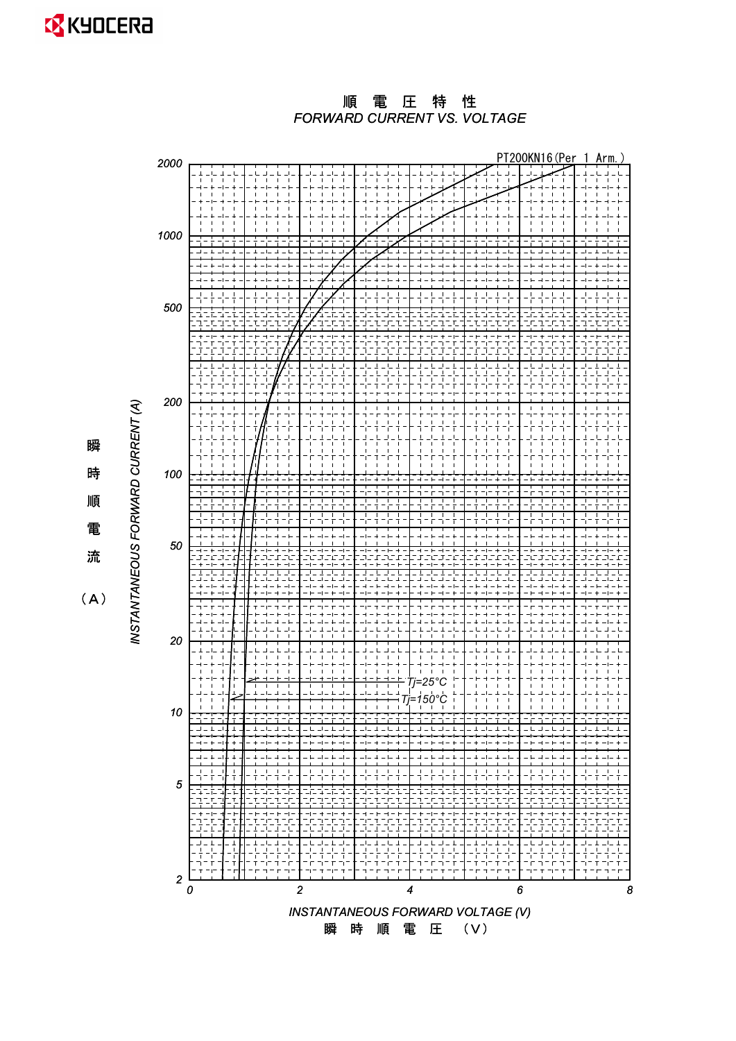**X** KYOCERA

*FORWARD CURRENT VS. VOLTAGE* 順 電 圧 特 性



 $(A)$ 

瞬

時

順

電

ὶ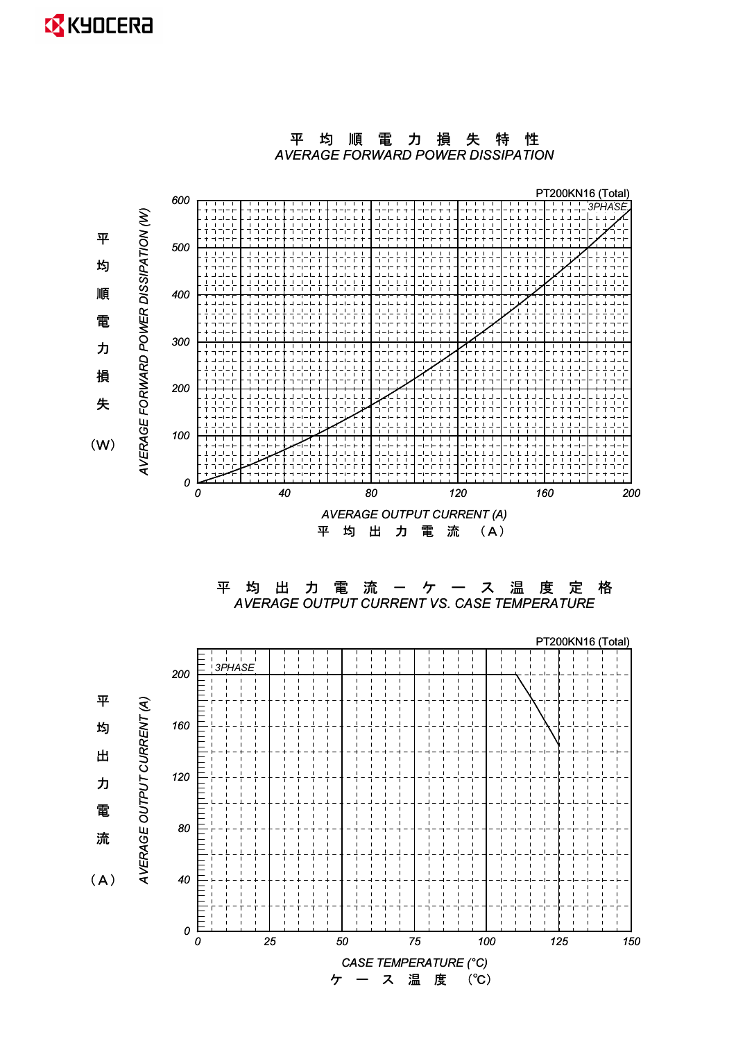### **EX** KYOCERA





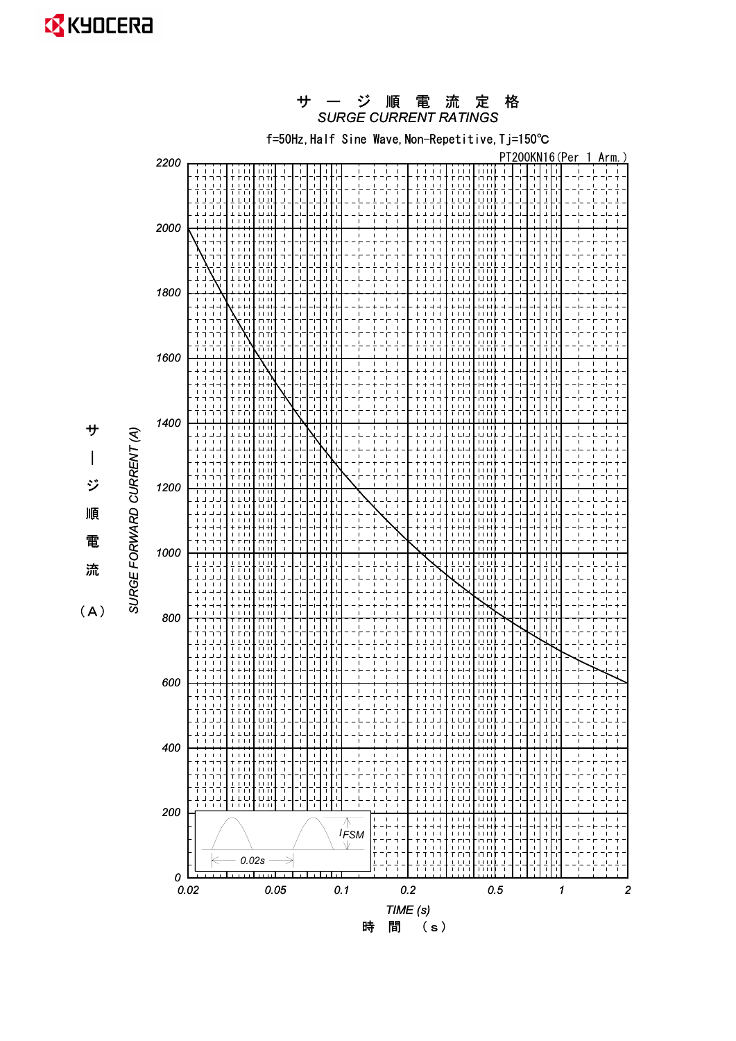**EX** KYOCERA

#### *SURGE CURRENT RATINGS* サ ー ジ 順 電 流 定 格

f=50Hz, Half Sine Wave, Non-Repetitive, Tj=150°C